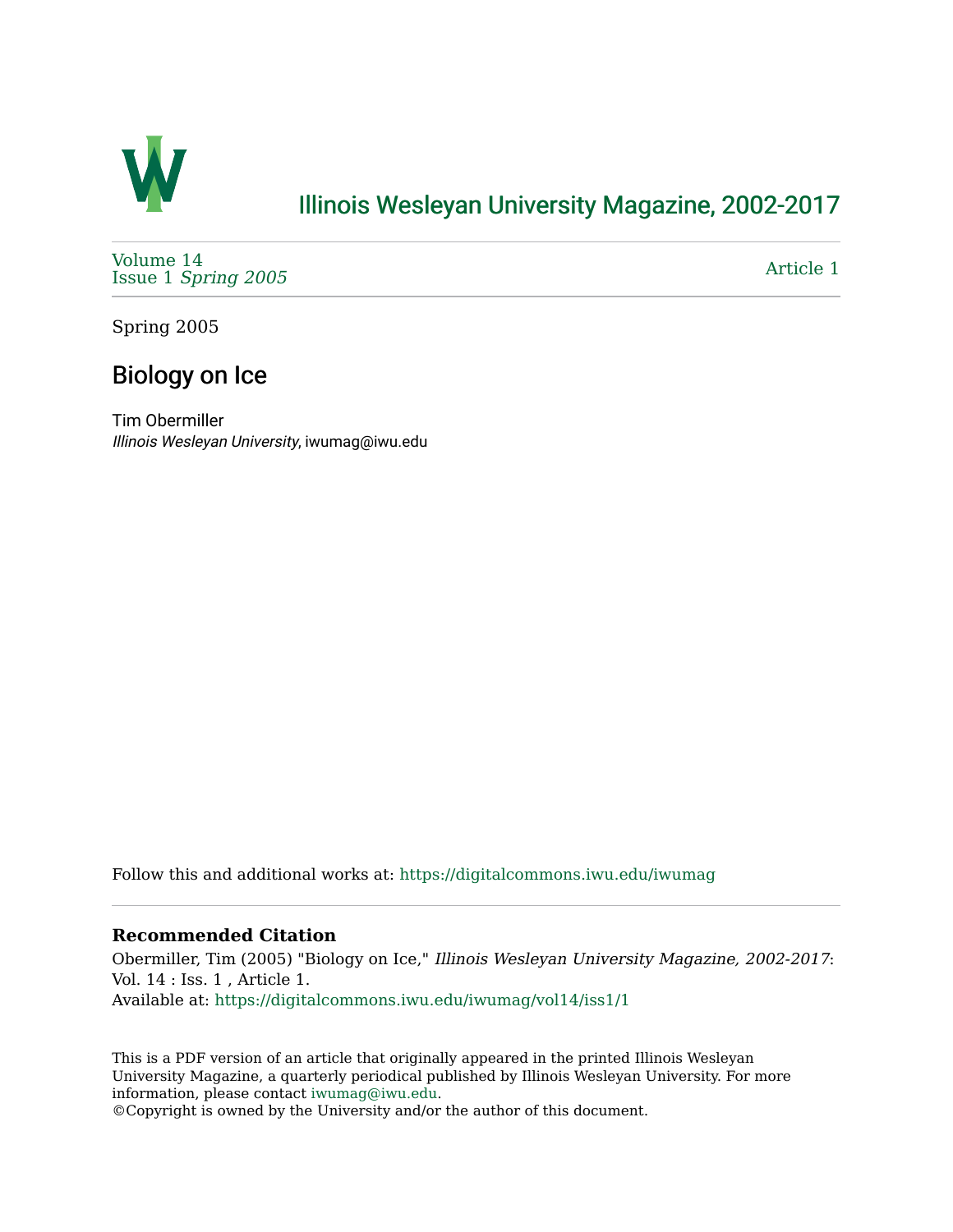

## [Illinois Wesleyan University Magazine, 2002-2017](https://digitalcommons.iwu.edu/iwumag)

[Volume 14](https://digitalcommons.iwu.edu/iwumag/vol14)  Issue 1 [Spring 2005](https://digitalcommons.iwu.edu/iwumag/vol14/iss1)

[Article 1](https://digitalcommons.iwu.edu/iwumag/vol14/iss1/1) 

Spring 2005

## Biology on Ice

Tim Obermiller Illinois Wesleyan University, iwumag@iwu.edu

Follow this and additional works at: [https://digitalcommons.iwu.edu/iwumag](https://digitalcommons.iwu.edu/iwumag?utm_source=digitalcommons.iwu.edu%2Fiwumag%2Fvol14%2Fiss1%2F1&utm_medium=PDF&utm_campaign=PDFCoverPages) 

## **Recommended Citation**

Obermiller, Tim (2005) "Biology on Ice," Illinois Wesleyan University Magazine, 2002-2017: Vol. 14 : Iss. 1 , Article 1. Available at: [https://digitalcommons.iwu.edu/iwumag/vol14/iss1/1](https://digitalcommons.iwu.edu/iwumag/vol14/iss1/1?utm_source=digitalcommons.iwu.edu%2Fiwumag%2Fvol14%2Fiss1%2F1&utm_medium=PDF&utm_campaign=PDFCoverPages)

This is a PDF version of an article that originally appeared in the printed Illinois Wesleyan University Magazine, a quarterly periodical published by Illinois Wesleyan University. For more information, please contact [iwumag@iwu.edu](mailto:iwumag@iwu.edu).

©Copyright is owned by the University and/or the author of this document.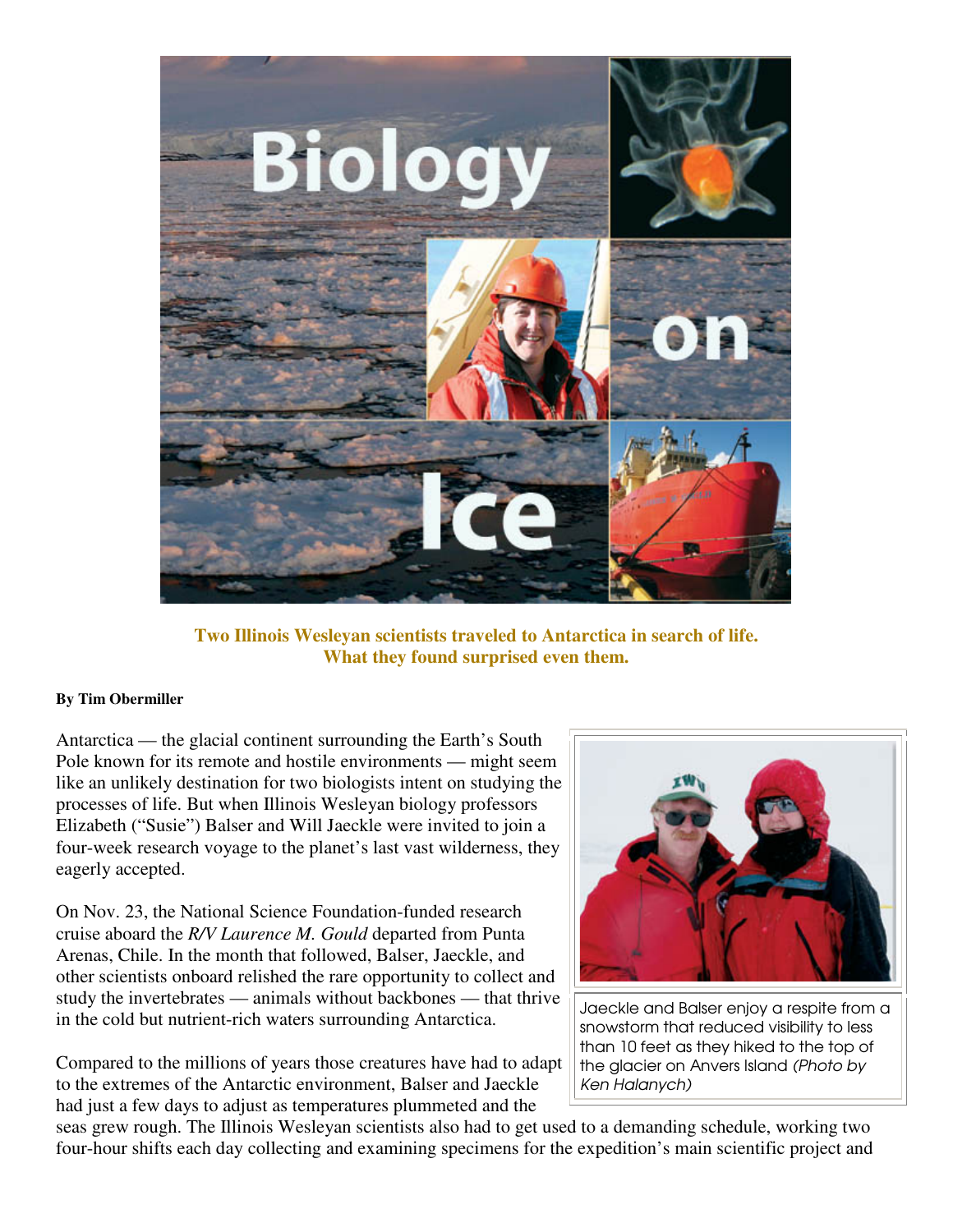

**Two Illinois Wesleyan scientists traveled to Antarctica in search of life. What they found surprised even them.** 

## **By Tim Obermiller**

Antarctica — the glacial continent surrounding the Earth's South Pole known for its remote and hostile environments — might seem like an unlikely destination for two biologists intent on studying the processes of life. But when Illinois Wesleyan biology professors Elizabeth ("Susie") Balser and Will Jaeckle were invited to join a four-week research voyage to the planet's last vast wilderness, they eagerly accepted.

On Nov. 23, the National Science Foundation-funded research cruise aboard the *R/V Laurence M. Gould* departed from Punta Arenas, Chile. In the month that followed, Balser, Jaeckle, and other scientists onboard relished the rare opportunity to collect and study the invertebrates — animals without backbones — that thrive in the cold but nutrient-rich waters surrounding Antarctica.

Compared to the millions of years those creatures have had to adapt to the extremes of the Antarctic environment, Balser and Jaeckle had just a few days to adjust as temperatures plummeted and the



Jaeckle and Balser enjoy a respite from a snowstorm that reduced visibility to less than 10 feet as they hiked to the top of the glacier on Anvers Island (Photo by Ken Halanych)

seas grew rough. The Illinois Wesleyan scientists also had to get used to a demanding schedule, working two four-hour shifts each day collecting and examining specimens for the expedition's main scientific project and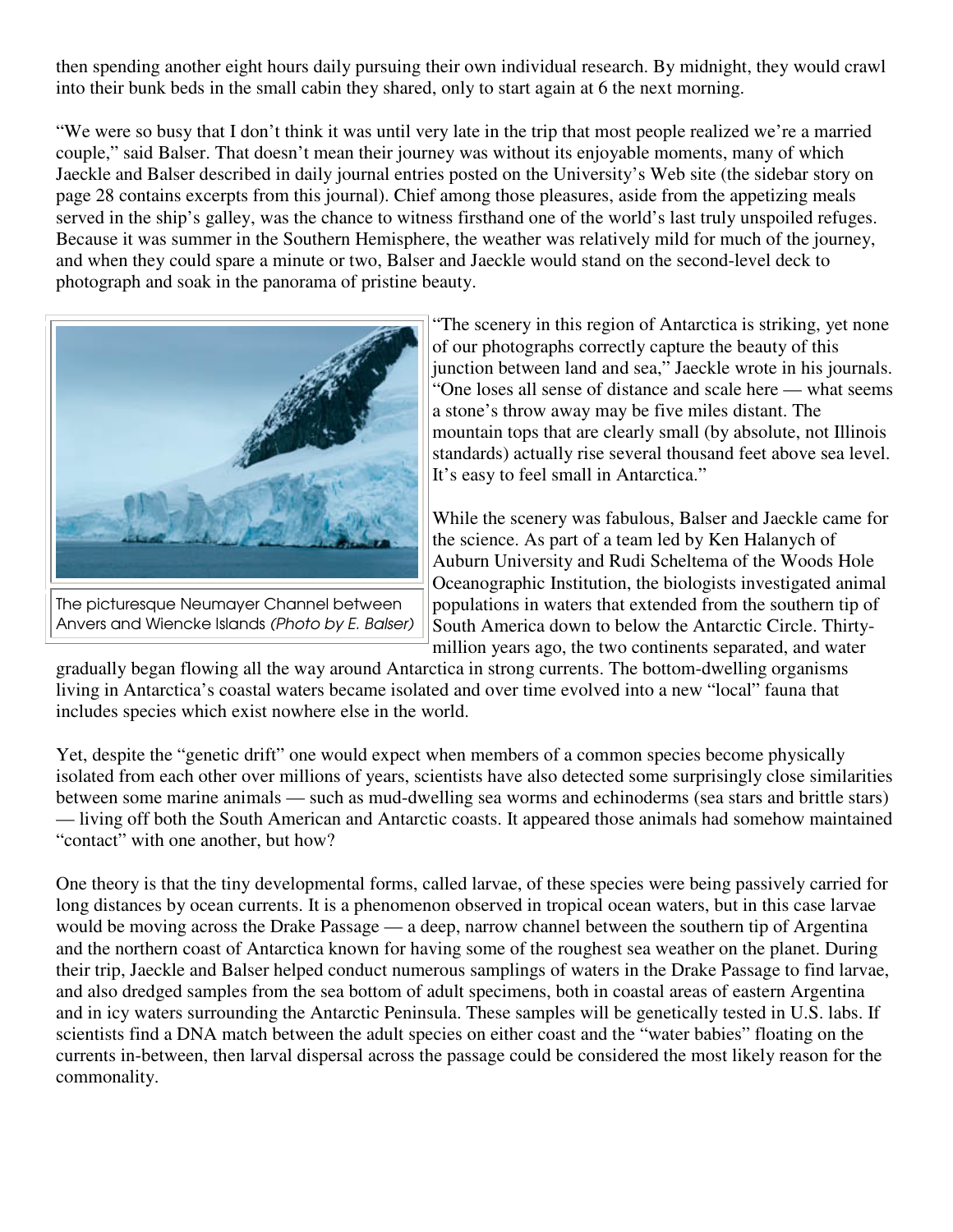then spending another eight hours daily pursuing their own individual research. By midnight, they would crawl into their bunk beds in the small cabin they shared, only to start again at 6 the next morning.

"We were so busy that I don't think it was until very late in the trip that most people realized we're a married couple," said Balser. That doesn't mean their journey was without its enjoyable moments, many of which Jaeckle and Balser described in daily journal entries posted on the University's Web site (the sidebar story on page 28 contains excerpts from this journal). Chief among those pleasures, aside from the appetizing meals served in the ship's galley, was the chance to witness firsthand one of the world's last truly unspoiled refuges. Because it was summer in the Southern Hemisphere, the weather was relatively mild for much of the journey, and when they could spare a minute or two, Balser and Jaeckle would stand on the second-level deck to photograph and soak in the panorama of pristine beauty.



The picturesque Neumayer Channel between Anvers and Wiencke Islands (Photo by E. Balser)

"The scenery in this region of Antarctica is striking, yet none of our photographs correctly capture the beauty of this junction between land and sea," Jaeckle wrote in his journals. "One loses all sense of distance and scale here — what seems a stone's throw away may be five miles distant. The mountain tops that are clearly small (by absolute, not Illinois standards) actually rise several thousand feet above sea level. It's easy to feel small in Antarctica."

While the scenery was fabulous, Balser and Jaeckle came for the science. As part of a team led by Ken Halanych of Auburn University and Rudi Scheltema of the Woods Hole Oceanographic Institution, the biologists investigated animal populations in waters that extended from the southern tip of South America down to below the Antarctic Circle. Thirtymillion years ago, the two continents separated, and water

gradually began flowing all the way around Antarctica in strong currents. The bottom-dwelling organisms living in Antarctica's coastal waters became isolated and over time evolved into a new "local" fauna that includes species which exist nowhere else in the world.

Yet, despite the "genetic drift" one would expect when members of a common species become physically isolated from each other over millions of years, scientists have also detected some surprisingly close similarities between some marine animals — such as mud-dwelling sea worms and echinoderms (sea stars and brittle stars) — living off both the South American and Antarctic coasts. It appeared those animals had somehow maintained "contact" with one another, but how?

One theory is that the tiny developmental forms, called larvae, of these species were being passively carried for long distances by ocean currents. It is a phenomenon observed in tropical ocean waters, but in this case larvae would be moving across the Drake Passage — a deep, narrow channel between the southern tip of Argentina and the northern coast of Antarctica known for having some of the roughest sea weather on the planet. During their trip, Jaeckle and Balser helped conduct numerous samplings of waters in the Drake Passage to find larvae, and also dredged samples from the sea bottom of adult specimens, both in coastal areas of eastern Argentina and in icy waters surrounding the Antarctic Peninsula. These samples will be genetically tested in U.S. labs. If scientists find a DNA match between the adult species on either coast and the "water babies" floating on the currents in-between, then larval dispersal across the passage could be considered the most likely reason for the commonality.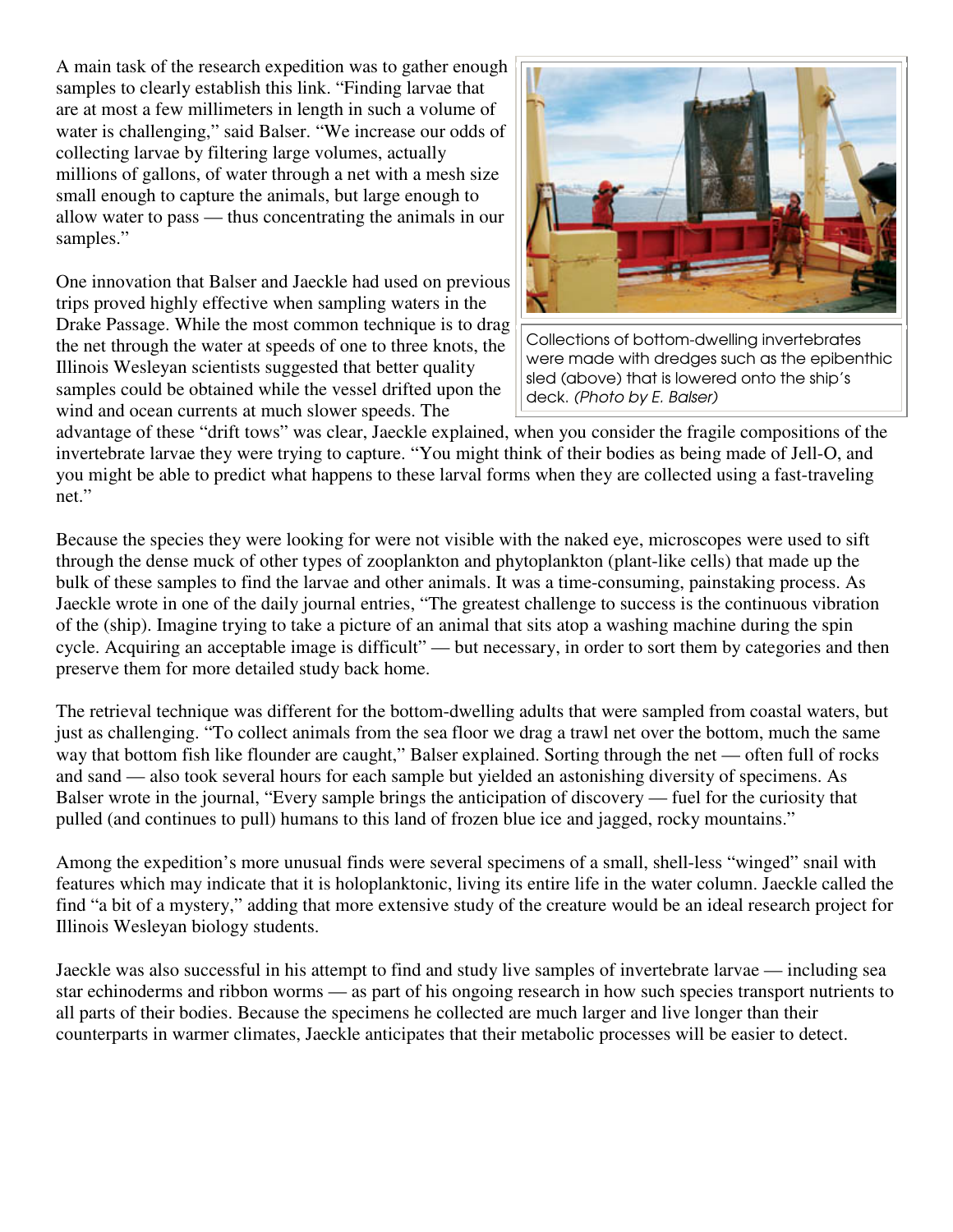A main task of the research expedition was to gather enough samples to clearly establish this link. "Finding larvae that are at most a few millimeters in length in such a volume of water is challenging," said Balser. "We increase our odds of collecting larvae by filtering large volumes, actually millions of gallons, of water through a net with a mesh size small enough to capture the animals, but large enough to allow water to pass — thus concentrating the animals in our samples."

One innovation that Balser and Jaeckle had used on previous trips proved highly effective when sampling waters in the Drake Passage. While the most common technique is to drag the net through the water at speeds of one to three knots, the Illinois Wesleyan scientists suggested that better quality samples could be obtained while the vessel drifted upon the wind and ocean currents at much slower speeds. The



Collections of bottom-dwelling invertebrates were made with dredges such as the epibenthic sled (above) that is lowered onto the ship's deck. (Photo by E. Balser)

advantage of these "drift tows" was clear, Jaeckle explained, when you consider the fragile compositions of the invertebrate larvae they were trying to capture. "You might think of their bodies as being made of Jell-O, and you might be able to predict what happens to these larval forms when they are collected using a fast-traveling net."

Because the species they were looking for were not visible with the naked eye, microscopes were used to sift through the dense muck of other types of zooplankton and phytoplankton (plant-like cells) that made up the bulk of these samples to find the larvae and other animals. It was a time-consuming, painstaking process. As Jaeckle wrote in one of the daily journal entries, "The greatest challenge to success is the continuous vibration of the (ship). Imagine trying to take a picture of an animal that sits atop a washing machine during the spin cycle. Acquiring an acceptable image is difficult" — but necessary, in order to sort them by categories and then preserve them for more detailed study back home.

The retrieval technique was different for the bottom-dwelling adults that were sampled from coastal waters, but just as challenging. "To collect animals from the sea floor we drag a trawl net over the bottom, much the same way that bottom fish like flounder are caught," Balser explained. Sorting through the net — often full of rocks and sand — also took several hours for each sample but yielded an astonishing diversity of specimens. As Balser wrote in the journal, "Every sample brings the anticipation of discovery — fuel for the curiosity that pulled (and continues to pull) humans to this land of frozen blue ice and jagged, rocky mountains."

Among the expedition's more unusual finds were several specimens of a small, shell-less "winged" snail with features which may indicate that it is holoplanktonic, living its entire life in the water column. Jaeckle called the find "a bit of a mystery," adding that more extensive study of the creature would be an ideal research project for Illinois Wesleyan biology students.

Jaeckle was also successful in his attempt to find and study live samples of invertebrate larvae — including sea star echinoderms and ribbon worms — as part of his ongoing research in how such species transport nutrients to all parts of their bodies. Because the specimens he collected are much larger and live longer than their counterparts in warmer climates, Jaeckle anticipates that their metabolic processes will be easier to detect.